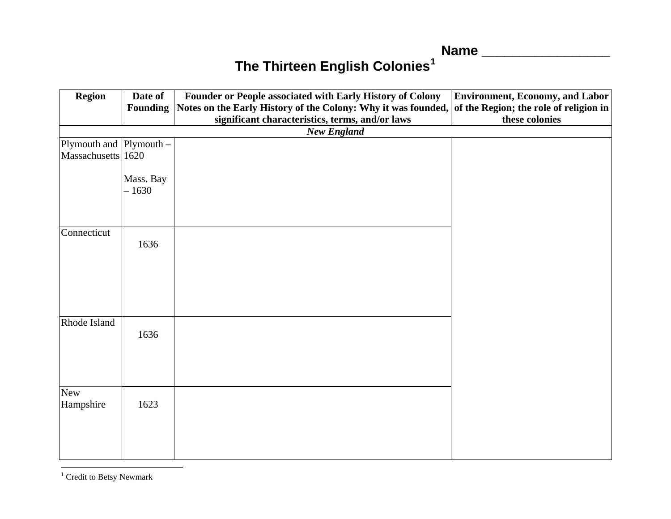**Name \_\_\_\_\_\_\_\_\_\_\_\_\_\_\_\_\_**

## **The Thirteen English Colonies[1](#page-0-0)**

| <b>Region</b>           | Date of              | Founder or People associated with Early History of Colony                                            | <b>Environment, Economy, and Labor</b> |  |  |  |  |
|-------------------------|----------------------|------------------------------------------------------------------------------------------------------|----------------------------------------|--|--|--|--|
|                         | <b>Founding</b>      | Notes on the Early History of the Colony: Why it was founded, of the Region; the role of religion in |                                        |  |  |  |  |
|                         |                      | significant characteristics, terms, and/or laws                                                      | these colonies                         |  |  |  |  |
| <b>New England</b>      |                      |                                                                                                      |                                        |  |  |  |  |
| Plymouth and Plymouth - |                      |                                                                                                      |                                        |  |  |  |  |
| Massachusetts 1620      |                      |                                                                                                      |                                        |  |  |  |  |
|                         | Mass. Bay<br>$-1630$ |                                                                                                      |                                        |  |  |  |  |
| Connecticut             | 1636                 |                                                                                                      |                                        |  |  |  |  |
|                         |                      |                                                                                                      |                                        |  |  |  |  |
| Rhode Island            | 1636                 |                                                                                                      |                                        |  |  |  |  |
| <b>New</b><br>Hampshire | 1623                 |                                                                                                      |                                        |  |  |  |  |

<span id="page-0-0"></span> $^{\rm 1}$  Credit to Betsy Newmark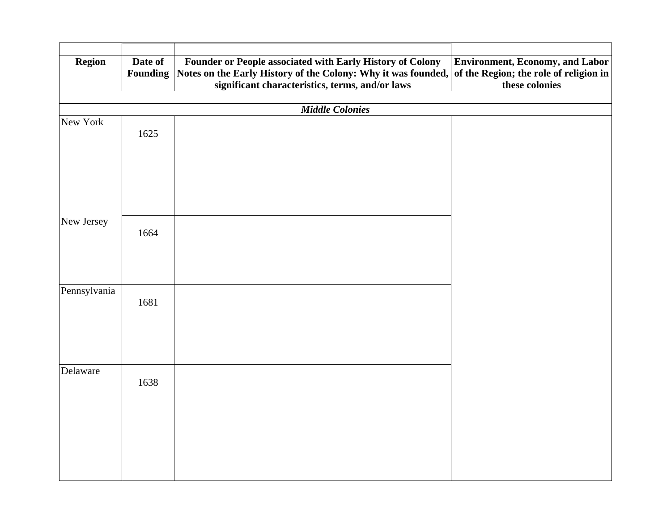| <b>Region</b> | Date of<br><b>Founding</b> | Founder or People associated with Early History of Colony<br>Notes on the Early History of the Colony: Why it was founded, of the Region; the role of religion in | <b>Environment, Economy, and Labor</b> |  |  |  |
|---------------|----------------------------|-------------------------------------------------------------------------------------------------------------------------------------------------------------------|----------------------------------------|--|--|--|
|               |                            | significant characteristics, terms, and/or laws                                                                                                                   | these colonies                         |  |  |  |
|               |                            |                                                                                                                                                                   |                                        |  |  |  |
| New York      |                            | <b>Middle Colonies</b>                                                                                                                                            |                                        |  |  |  |
|               | 1625                       |                                                                                                                                                                   |                                        |  |  |  |
|               |                            |                                                                                                                                                                   |                                        |  |  |  |
|               |                            |                                                                                                                                                                   |                                        |  |  |  |
|               |                            |                                                                                                                                                                   |                                        |  |  |  |
| New Jersey    | 1664                       |                                                                                                                                                                   |                                        |  |  |  |
|               |                            |                                                                                                                                                                   |                                        |  |  |  |
| Pennsylvania  | 1681                       |                                                                                                                                                                   |                                        |  |  |  |
|               |                            |                                                                                                                                                                   |                                        |  |  |  |
|               |                            |                                                                                                                                                                   |                                        |  |  |  |
| Delaware      | 1638                       |                                                                                                                                                                   |                                        |  |  |  |
|               |                            |                                                                                                                                                                   |                                        |  |  |  |
|               |                            |                                                                                                                                                                   |                                        |  |  |  |
|               |                            |                                                                                                                                                                   |                                        |  |  |  |